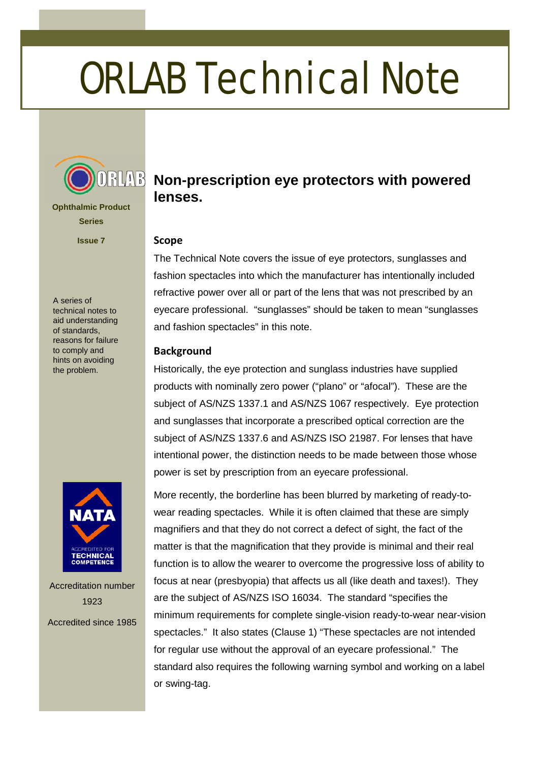# ORLAB Technical Note



**Ophthalmic Product Series**

**Issue 7**

A series of technical notes to aid understanding of standards, reasons for failure to comply and hints on avoiding the problem.



Accreditation number 1923 Accredited since 1985

## **RUNB** Non-prescription eye protectors with powered **lenses.**

## **Scope**

The Technical Note covers the issue of eye protectors, sunglasses and fashion spectacles into which the manufacturer has intentionally included refractive power over all or part of the lens that was not prescribed by an eyecare professional. "sunglasses" should be taken to mean "sunglasses and fashion spectacles" in this note.

## **Background**

Historically, the eye protection and sunglass industries have supplied products with nominally zero power ("plano" or "afocal"). These are the subject of AS/NZS 1337.1 and AS/NZS 1067 respectively. Eye protection and sunglasses that incorporate a prescribed optical correction are the subject of AS/NZS 1337.6 and AS/NZS ISO 21987. For lenses that have intentional power, the distinction needs to be made between those whose power is set by prescription from an eyecare professional.

More recently, the borderline has been blurred by marketing of ready-towear reading spectacles. While it is often claimed that these are simply magnifiers and that they do not correct a defect of sight, the fact of the matter is that the magnification that they provide is minimal and their real function is to allow the wearer to overcome the progressive loss of ability to focus at near (presbyopia) that affects us all (like death and taxes!). They are the subject of AS/NZS ISO 16034. The standard "specifies the minimum requirements for complete single-vision ready-to-wear near-vision spectacles." It also states (Clause 1) "These spectacles are not intended for regular use without the approval of an eyecare professional." The standard also requires the following warning symbol and working on a label or swing-tag.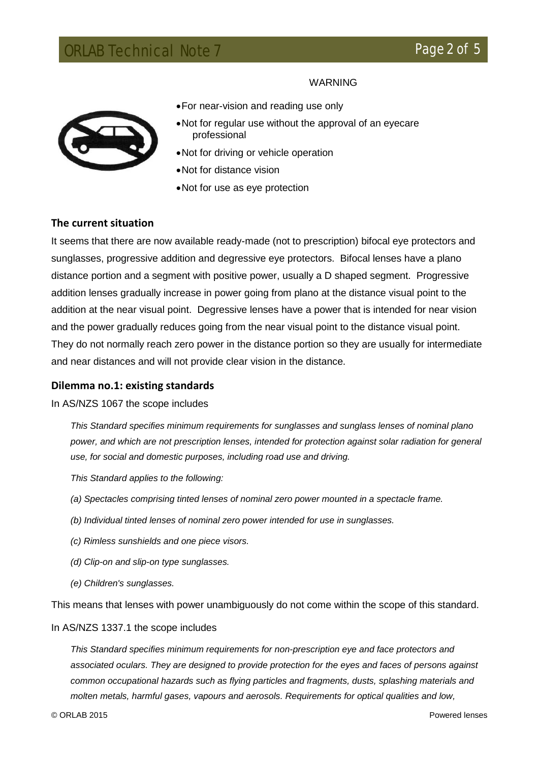## WARNING



- •For near-vision and reading use only
- •Not for regular use without the approval of an eyecare professional
- •Not for driving or vehicle operation
- •Not for distance vision
- •Not for use as eye protection

## **The current situation**

It seems that there are now available ready-made (not to prescription) bifocal eye protectors and sunglasses, progressive addition and degressive eye protectors. Bifocal lenses have a plano distance portion and a segment with positive power, usually a D shaped segment. Progressive addition lenses gradually increase in power going from plano at the distance visual point to the addition at the near visual point. Degressive lenses have a power that is intended for near vision and the power gradually reduces going from the near visual point to the distance visual point. They do not normally reach zero power in the distance portion so they are usually for intermediate and near distances and will not provide clear vision in the distance.

#### **Dilemma no.1: existing standards**

#### In AS/NZS 1067 the scope includes

*This Standard specifies minimum requirements for sunglasses and sunglass lenses of nominal plano power, and which are not prescription lenses, intended for protection against solar radiation for general use, for social and domestic purposes, including road use and driving.*

*This Standard applies to the following:*

- *(a) Spectacles comprising tinted lenses of nominal zero power mounted in a spectacle frame.*
- *(b) Individual tinted lenses of nominal zero power intended for use in sunglasses.*
- *(c) Rimless sunshields and one piece visors.*
- *(d) Clip-on and slip-on type sunglasses.*
- *(e) Children's sunglasses.*

This means that lenses with power unambiguously do not come within the scope of this standard.

#### In AS/NZS 1337.1 the scope includes

*This Standard specifies minimum requirements for non-prescription eye and face protectors and associated oculars. They are designed to provide protection for the eyes and faces of persons against common occupational hazards such as flying particles and fragments, dusts, splashing materials and molten metals, harmful gases, vapours and aerosols. Requirements for optical qualities and low,*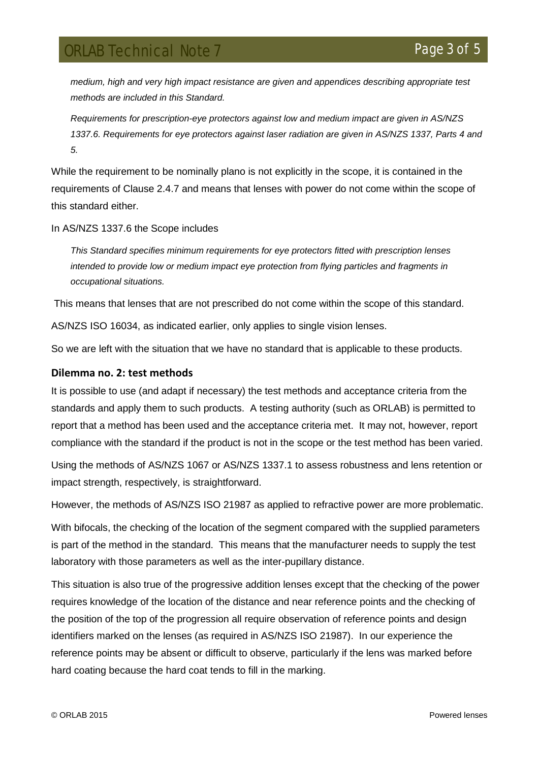## **ORLAB Technical Note 7** Page 3 of

*medium, high and very high impact resistance are given and appendices describing appropriate test methods are included in this Standard.*

*Requirements for prescription-eye protectors against low and medium impact are given in AS/NZS 1337.6. Requirements for eye protectors against laser radiation are given in AS/NZS 1337, Parts 4 and 5.*

While the requirement to be nominally plano is not explicitly in the scope, it is contained in the requirements of Clause 2.4.7 and means that lenses with power do not come within the scope of this standard either.

## In AS/NZS 1337.6 the Scope includes

*This Standard specifies minimum requirements for eye protectors fitted with prescription lenses intended to provide low or medium impact eye protection from flying particles and fragments in occupational situations.*

This means that lenses that are not prescribed do not come within the scope of this standard.

AS/NZS ISO 16034, as indicated earlier, only applies to single vision lenses.

So we are left with the situation that we have no standard that is applicable to these products.

## **Dilemma no. 2: test methods**

It is possible to use (and adapt if necessary) the test methods and acceptance criteria from the standards and apply them to such products. A testing authority (such as ORLAB) is permitted to report that a method has been used and the acceptance criteria met. It may not, however, report compliance with the standard if the product is not in the scope or the test method has been varied.

Using the methods of AS/NZS 1067 or AS/NZS 1337.1 to assess robustness and lens retention or impact strength, respectively, is straightforward.

However, the methods of AS/NZS ISO 21987 as applied to refractive power are more problematic.

With bifocals, the checking of the location of the segment compared with the supplied parameters is part of the method in the standard. This means that the manufacturer needs to supply the test laboratory with those parameters as well as the inter-pupillary distance.

This situation is also true of the progressive addition lenses except that the checking of the power requires knowledge of the location of the distance and near reference points and the checking of the position of the top of the progression all require observation of reference points and design identifiers marked on the lenses (as required in AS/NZS ISO 21987). In our experience the reference points may be absent or difficult to observe, particularly if the lens was marked before hard coating because the hard coat tends to fill in the marking.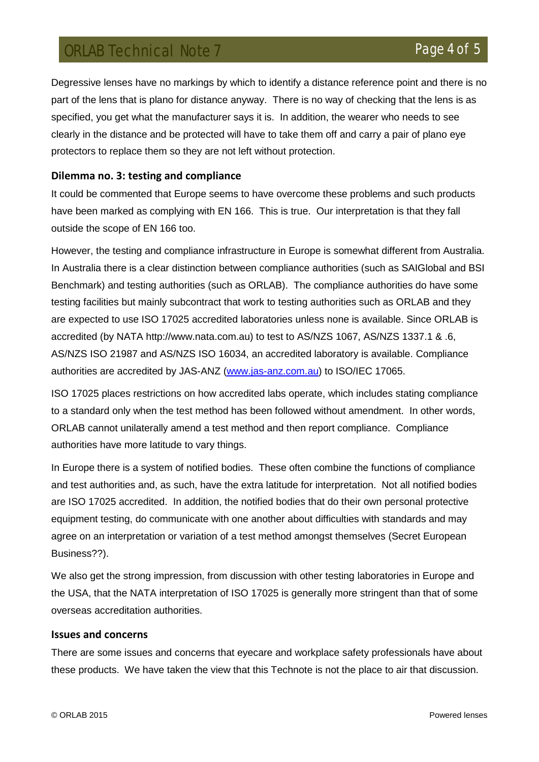## **ORLAB Technical Note 7 Annual Strategier According Page 4 of 5**

Degressive lenses have no markings by which to identify a distance reference point and there is no part of the lens that is plano for distance anyway. There is no way of checking that the lens is as specified, you get what the manufacturer says it is. In addition, the wearer who needs to see clearly in the distance and be protected will have to take them off and carry a pair of plano eye protectors to replace them so they are not left without protection.

## **Dilemma no. 3: testing and compliance**

It could be commented that Europe seems to have overcome these problems and such products have been marked as complying with EN 166. This is true. Our interpretation is that they fall outside the scope of EN 166 too.

However, the testing and compliance infrastructure in Europe is somewhat different from Australia. In Australia there is a clear distinction between compliance authorities (such as SAIGlobal and BSI Benchmark) and testing authorities (such as ORLAB). The compliance authorities do have some testing facilities but mainly subcontract that work to testing authorities such as ORLAB and they are expected to use ISO 17025 accredited laboratories unless none is available. Since ORLAB is accredited (by NATA http://www.nata.com.au) to test to AS/NZS 1067, AS/NZS 1337.1 & .6, AS/NZS ISO 21987 and AS/NZS ISO 16034, an accredited laboratory is available. Compliance authorities are accredited by JAS-ANZ [\(www.jas-anz.com.au\)](http://www.jas-anz.com.au/) to ISO/IEC 17065.

ISO 17025 places restrictions on how accredited labs operate, which includes stating compliance to a standard only when the test method has been followed without amendment. In other words, ORLAB cannot unilaterally amend a test method and then report compliance. Compliance authorities have more latitude to vary things.

In Europe there is a system of notified bodies. These often combine the functions of compliance and test authorities and, as such, have the extra latitude for interpretation. Not all notified bodies are ISO 17025 accredited. In addition, the notified bodies that do their own personal protective equipment testing, do communicate with one another about difficulties with standards and may agree on an interpretation or variation of a test method amongst themselves (Secret European Business??).

We also get the strong impression, from discussion with other testing laboratories in Europe and the USA, that the NATA interpretation of ISO 17025 is generally more stringent than that of some overseas accreditation authorities.

## **Issues and concerns**

There are some issues and concerns that eyecare and workplace safety professionals have about these products. We have taken the view that this Technote is not the place to air that discussion.